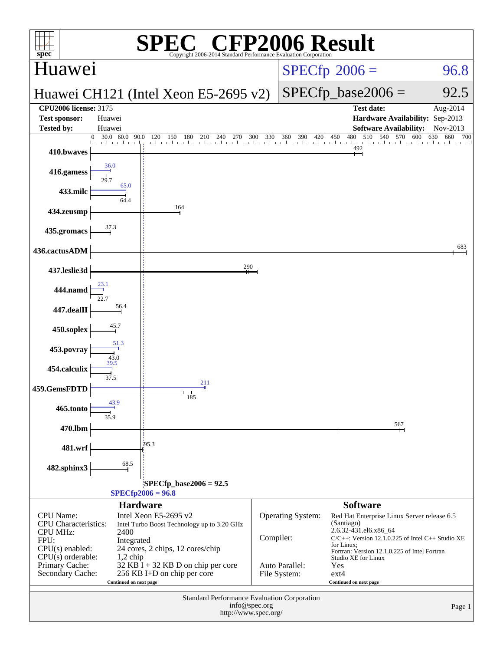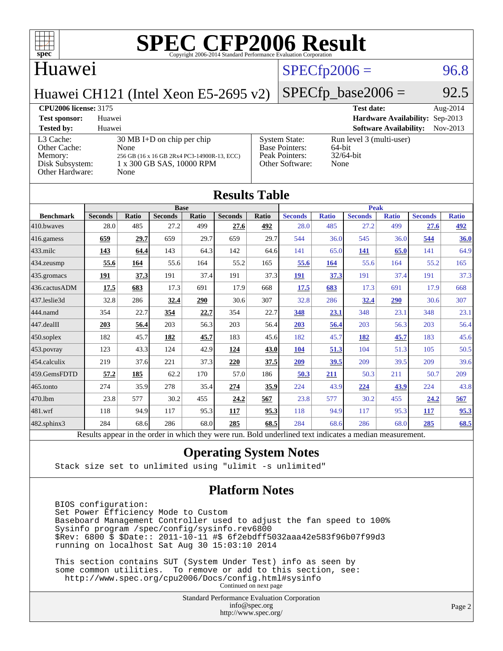

#### Huawei

### $SPECTp2006 = 96.8$

Huawei CH121 (Intel Xeon E5-2695 v2)

# $SPECTp\_base2006 = 92.5$

| <b>CPU2006 license: 3175</b>                                               |                                                                                                                                  |                                                                                    | <b>Test date:</b>                                             | Aug- $2014$ |
|----------------------------------------------------------------------------|----------------------------------------------------------------------------------------------------------------------------------|------------------------------------------------------------------------------------|---------------------------------------------------------------|-------------|
| <b>Test sponsor:</b>                                                       | Huawei                                                                                                                           |                                                                                    | Hardware Availability: Sep-2013                               |             |
| <b>Tested by:</b>                                                          | Huawei                                                                                                                           |                                                                                    | <b>Software Availability:</b>                                 | Nov-2013    |
| L3 Cache:<br>Other Cache:<br>Memory:<br>Disk Subsystem:<br>Other Hardware: | $30 \text{ MB I+D}$ on chip per chip<br>None<br>256 GB (16 x 16 GB 2Rx4 PC3-14900R-13, ECC)<br>1 x 300 GB SAS, 10000 RPM<br>None | <b>System State:</b><br><b>Base Pointers:</b><br>Peak Pointers:<br>Other Software: | Run level 3 (multi-user)<br>$64$ -bit<br>$32/64$ -bit<br>None |             |

| <b>Results Table</b> |                                                                                                          |       |                |             |                |       |                |              |                |              |                |              |
|----------------------|----------------------------------------------------------------------------------------------------------|-------|----------------|-------------|----------------|-------|----------------|--------------|----------------|--------------|----------------|--------------|
|                      | <b>Base</b>                                                                                              |       |                | <b>Peak</b> |                |       |                |              |                |              |                |              |
| <b>Benchmark</b>     | <b>Seconds</b>                                                                                           | Ratio | <b>Seconds</b> | Ratio       | <b>Seconds</b> | Ratio | <b>Seconds</b> | <b>Ratio</b> | <b>Seconds</b> | <b>Ratio</b> | <b>Seconds</b> | <b>Ratio</b> |
| 410.bwayes           | 28.0                                                                                                     | 485   | 27.2           | 499         | 27.6           | 492   | 28.0           | 485          | 27.2           | 499          | 27.6           | 492          |
| 416.gamess           | 659                                                                                                      | 29.7  | 659            | 29.7        | 659            | 29.7  | 544            | 36.0         | 545            | 36.0         | 544            | 36.0         |
| $433$ .milc          | 143                                                                                                      | 64.4  | 143            | 64.3        | 142            | 64.6  | 141            | 65.0         | 141            | 65.0         | 141            | 64.9         |
| 434.zeusmp           | 55.6                                                                                                     | 164   | 55.6           | 164         | 55.2           | 165   | 55.6           | 164          | 55.6           | 164          | 55.2           | 165          |
| 435.gromacs          | 191                                                                                                      | 37.3  | 191            | 37.4        | 191            | 37.3  | <b>191</b>     | 37.3         | 191            | 37.4         | 191            | 37.3         |
| 436.cactusADM        | 17.5                                                                                                     | 683   | 17.3           | 691         | 17.9           | 668   | 17.5           | 683          | 17.3           | 691          | 17.9           | 668          |
| 437.leslie3d         | 32.8                                                                                                     | 286   | 32.4           | 290         | 30.6           | 307   | 32.8           | 286          | 32.4           | 290          | 30.6           | 307          |
| 444.namd             | 354                                                                                                      | 22.7  | 354            | 22.7        | 354            | 22.7  | 348            | 23.1         | 348            | 23.1         | 348            | 23.1         |
| 447.dealII           | 203                                                                                                      | 56.4  | 203            | 56.3        | 203            | 56.4  | 203            | 56.4         | 203            | 56.3         | 203            | 56.4         |
| 450.soplex           | 182                                                                                                      | 45.7  | 182            | 45.7        | 183            | 45.6  | 182            | 45.7         | 182            | 45.7         | 183            | 45.6         |
| 453.povray           | 123                                                                                                      | 43.3  | 124            | 42.9        | 124            | 43.0  | 104            | 51.3         | 104            | 51.3         | 105            | 50.5         |
| 454.calculix         | 219                                                                                                      | 37.6  | 221            | 37.3        | 220            | 37.5  | 209            | 39.5         | 209            | 39.5         | 209            | 39.6         |
| 459.GemsFDTD         | 57.2                                                                                                     | 185   | 62.2           | 170         | 57.0           | 186   | 50.3           | 211          | 50.3           | 211          | 50.7           | 209          |
| 465.tonto            | 274                                                                                                      | 35.9  | 278            | 35.4        | 274            | 35.9  | 224            | 43.9         | 224            | 43.9         | 224            | 43.8         |
| 470.1bm              | 23.8                                                                                                     | 577   | 30.2           | 455         | 24.2           | 567   | 23.8           | 577          | 30.2           | 455          | 24.2           | 567          |
| 481.wrf              | 118                                                                                                      | 94.9  | 117            | 95.3        | 117            | 95.3  | 118            | 94.9         | 117            | 95.3         | <b>117</b>     | 95.3         |
| 482.sphinx3          | 284                                                                                                      | 68.6  | 286            | 68.0        | 285            | 68.5  | 284            | 68.6         | 286            | 68.0         | 285            | 68.5         |
|                      | Results appear in the order in which they were run. Bold underlined text indicates a median measurement. |       |                |             |                |       |                |              |                |              |                |              |

#### **[Operating System Notes](http://www.spec.org/auto/cpu2006/Docs/result-fields.html#OperatingSystemNotes)**

Stack size set to unlimited using "ulimit -s unlimited"

#### **[Platform Notes](http://www.spec.org/auto/cpu2006/Docs/result-fields.html#PlatformNotes)**

 BIOS configuration: Set Power Efficiency Mode to Custom Baseboard Management Controller used to adjust the fan speed to 100% Sysinfo program /spec/config/sysinfo.rev6800 \$Rev: 6800 \$ \$Date:: 2011-10-11 #\$ 6f2ebdff5032aaa42e583f96b07f99d3 running on localhost Sat Aug 30 15:03:10 2014

 This section contains SUT (System Under Test) info as seen by some common utilities. To remove or add to this section, see: <http://www.spec.org/cpu2006/Docs/config.html#sysinfo> Continued on next page

> Standard Performance Evaluation Corporation [info@spec.org](mailto:info@spec.org) <http://www.spec.org/>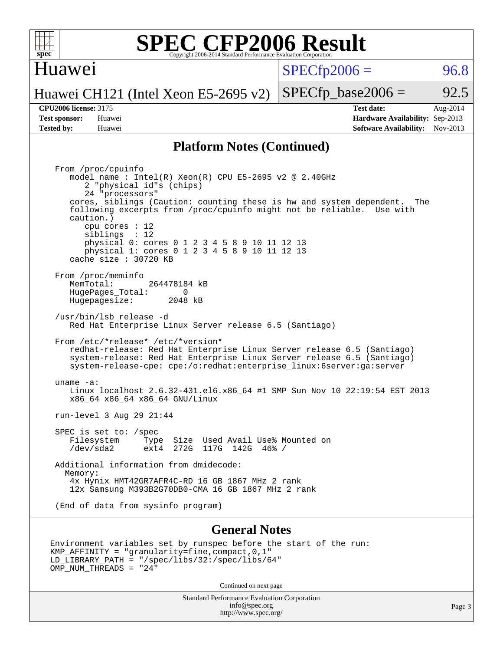

#### Huawei

 $SPECTp2006 = 96.8$ 

Huawei CH121 (Intel Xeon E5-2695 v2)  $SPECTp\_base2006 = 92.5$ 

**[Tested by:](http://www.spec.org/auto/cpu2006/Docs/result-fields.html#Testedby)** Huawei **[Software Availability:](http://www.spec.org/auto/cpu2006/Docs/result-fields.html#SoftwareAvailability)** Nov-2013

**[CPU2006 license:](http://www.spec.org/auto/cpu2006/Docs/result-fields.html#CPU2006license)** 3175 **[Test date:](http://www.spec.org/auto/cpu2006/Docs/result-fields.html#Testdate)** Aug-2014 **[Test sponsor:](http://www.spec.org/auto/cpu2006/Docs/result-fields.html#Testsponsor)** Huawei **[Hardware Availability:](http://www.spec.org/auto/cpu2006/Docs/result-fields.html#HardwareAvailability)** Sep-2013

#### **[Platform Notes \(Continued\)](http://www.spec.org/auto/cpu2006/Docs/result-fields.html#PlatformNotes)**

 From /proc/cpuinfo model name : Intel(R) Xeon(R) CPU E5-2695 v2 @ 2.40GHz 2 "physical id"s (chips) 24 "processors" cores, siblings (Caution: counting these is hw and system dependent. The following excerpts from /proc/cpuinfo might not be reliable. Use with caution.) cpu cores : 12 siblings : 12 physical 0: cores 0 1 2 3 4 5 8 9 10 11 12 13 physical 1: cores 0 1 2 3 4 5 8 9 10 11 12 13 cache size : 30720 KB From /proc/meminfo MemTotal: 264478184 kB HugePages\_Total: 0 Hugepagesize: 2048 kB /usr/bin/lsb\_release -d Red Hat Enterprise Linux Server release 6.5 (Santiago) From /etc/\*release\* /etc/\*version\* redhat-release: Red Hat Enterprise Linux Server release 6.5 (Santiago) system-release: Red Hat Enterprise Linux Server release 6.5 (Santiago) system-release-cpe: cpe:/o:redhat:enterprise\_linux:6server:ga:server uname -a: Linux localhost 2.6.32-431.el6.x86\_64 #1 SMP Sun Nov 10 22:19:54 EST 2013 x86\_64 x86\_64 x86\_64 GNU/Linux run-level 3 Aug 29 21:44 SPEC is set to: /spec<br>Filesystem Type Type Size Used Avail Use% Mounted on /dev/sda2 ext4 272G 117G 142G 46% / Additional information from dmidecode: Memory: 4x Hynix HMT42GR7AFR4C-RD 16 GB 1867 MHz 2 rank 12x Samsung M393B2G70DB0-CMA 16 GB 1867 MHz 2 rank (End of data from sysinfo program)

#### **[General Notes](http://www.spec.org/auto/cpu2006/Docs/result-fields.html#GeneralNotes)**

```
Environment variables set by runspec before the start of the run:
KMP_AFFINITY = "granularity=fine,compact,0,1"
LD_LIBRARY_PATH = "/spec/libs/32:/spec/libs/64"
OMP NUM THREADS = "24"
```
Continued on next page

Standard Performance Evaluation Corporation [info@spec.org](mailto:info@spec.org) <http://www.spec.org/>

Page 3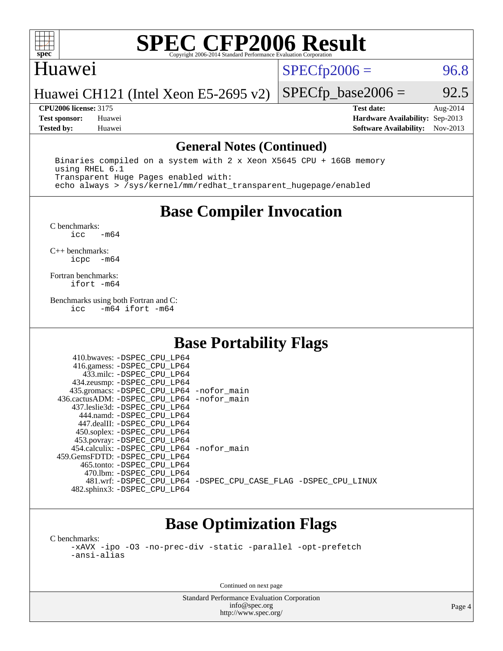

#### Huawei

 $SPECTp2006 = 96.8$ 

Huawei CH121 (Intel Xeon E5-2695 v2)

**[CPU2006 license:](http://www.spec.org/auto/cpu2006/Docs/result-fields.html#CPU2006license)** 3175 **[Test date:](http://www.spec.org/auto/cpu2006/Docs/result-fields.html#Testdate)** Aug-2014 **[Test sponsor:](http://www.spec.org/auto/cpu2006/Docs/result-fields.html#Testsponsor)** Huawei **[Hardware Availability:](http://www.spec.org/auto/cpu2006/Docs/result-fields.html#HardwareAvailability)** Sep-2013 **[Tested by:](http://www.spec.org/auto/cpu2006/Docs/result-fields.html#Testedby)** Huawei **[Software Availability:](http://www.spec.org/auto/cpu2006/Docs/result-fields.html#SoftwareAvailability)** Nov-2013

 $SPECTp\_base2006 = 92.5$ 

#### **[General Notes \(Continued\)](http://www.spec.org/auto/cpu2006/Docs/result-fields.html#GeneralNotes)**

 Binaries compiled on a system with 2 x Xeon X5645 CPU + 16GB memory using RHEL 6.1 Transparent Huge Pages enabled with: echo always > /sys/kernel/mm/redhat\_transparent\_hugepage/enabled

## **[Base Compiler Invocation](http://www.spec.org/auto/cpu2006/Docs/result-fields.html#BaseCompilerInvocation)**

 $C$  benchmarks:<br>icc  $-m64$ 

[C++ benchmarks:](http://www.spec.org/auto/cpu2006/Docs/result-fields.html#CXXbenchmarks) [icpc -m64](http://www.spec.org/cpu2006/results/res2014q3/cpu2006-20140905-31211.flags.html#user_CXXbase_intel_icpc_64bit_bedb90c1146cab66620883ef4f41a67e)

[Fortran benchmarks](http://www.spec.org/auto/cpu2006/Docs/result-fields.html#Fortranbenchmarks): [ifort -m64](http://www.spec.org/cpu2006/results/res2014q3/cpu2006-20140905-31211.flags.html#user_FCbase_intel_ifort_64bit_ee9d0fb25645d0210d97eb0527dcc06e)

[Benchmarks using both Fortran and C](http://www.spec.org/auto/cpu2006/Docs/result-fields.html#BenchmarksusingbothFortranandC):<br>icc -m64 ifort -m64  $-m64$  ifort  $-m64$ 

## **[Base Portability Flags](http://www.spec.org/auto/cpu2006/Docs/result-fields.html#BasePortabilityFlags)**

| 435.gromacs: -DSPEC_CPU_LP64 -nofor_main                       |
|----------------------------------------------------------------|
| 436.cactusADM: - DSPEC CPU LP64 - nofor main                   |
|                                                                |
|                                                                |
|                                                                |
|                                                                |
|                                                                |
| 454.calculix: - DSPEC CPU LP64 - nofor main                    |
|                                                                |
|                                                                |
|                                                                |
| 481.wrf: -DSPEC CPU_LP64 -DSPEC_CPU_CASE_FLAG -DSPEC_CPU_LINUX |
|                                                                |
|                                                                |

## **[Base Optimization Flags](http://www.spec.org/auto/cpu2006/Docs/result-fields.html#BaseOptimizationFlags)**

[C benchmarks](http://www.spec.org/auto/cpu2006/Docs/result-fields.html#Cbenchmarks): [-xAVX](http://www.spec.org/cpu2006/results/res2014q3/cpu2006-20140905-31211.flags.html#user_CCbase_f-xAVX) [-ipo](http://www.spec.org/cpu2006/results/res2014q3/cpu2006-20140905-31211.flags.html#user_CCbase_f-ipo) [-O3](http://www.spec.org/cpu2006/results/res2014q3/cpu2006-20140905-31211.flags.html#user_CCbase_f-O3) [-no-prec-div](http://www.spec.org/cpu2006/results/res2014q3/cpu2006-20140905-31211.flags.html#user_CCbase_f-no-prec-div) [-static](http://www.spec.org/cpu2006/results/res2014q3/cpu2006-20140905-31211.flags.html#user_CCbase_f-static) [-parallel](http://www.spec.org/cpu2006/results/res2014q3/cpu2006-20140905-31211.flags.html#user_CCbase_f-parallel) [-opt-prefetch](http://www.spec.org/cpu2006/results/res2014q3/cpu2006-20140905-31211.flags.html#user_CCbase_f-opt-prefetch) [-ansi-alias](http://www.spec.org/cpu2006/results/res2014q3/cpu2006-20140905-31211.flags.html#user_CCbase_f-ansi-alias)

Continued on next page

Standard Performance Evaluation Corporation [info@spec.org](mailto:info@spec.org) <http://www.spec.org/>

Page 4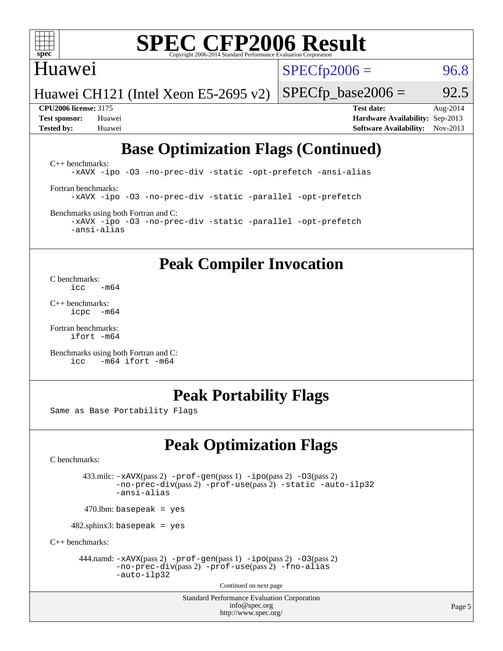

### Huawei

 $SPECTp2006 = 96.8$ 

Huawei CH121 (Intel Xeon E5-2695 v2)

**[CPU2006 license:](http://www.spec.org/auto/cpu2006/Docs/result-fields.html#CPU2006license)** 3175 **[Test date:](http://www.spec.org/auto/cpu2006/Docs/result-fields.html#Testdate)** Aug-2014 **[Test sponsor:](http://www.spec.org/auto/cpu2006/Docs/result-fields.html#Testsponsor)** Huawei **[Hardware Availability:](http://www.spec.org/auto/cpu2006/Docs/result-fields.html#HardwareAvailability)** Sep-2013 **[Tested by:](http://www.spec.org/auto/cpu2006/Docs/result-fields.html#Testedby)** Huawei **[Software Availability:](http://www.spec.org/auto/cpu2006/Docs/result-fields.html#SoftwareAvailability)** Nov-2013

 $SPECTp\_base2006 = 92.5$ 

## **[Base Optimization Flags \(Continued\)](http://www.spec.org/auto/cpu2006/Docs/result-fields.html#BaseOptimizationFlags)**

[C++ benchmarks:](http://www.spec.org/auto/cpu2006/Docs/result-fields.html#CXXbenchmarks) [-xAVX](http://www.spec.org/cpu2006/results/res2014q3/cpu2006-20140905-31211.flags.html#user_CXXbase_f-xAVX) [-ipo](http://www.spec.org/cpu2006/results/res2014q3/cpu2006-20140905-31211.flags.html#user_CXXbase_f-ipo) [-O3](http://www.spec.org/cpu2006/results/res2014q3/cpu2006-20140905-31211.flags.html#user_CXXbase_f-O3) [-no-prec-div](http://www.spec.org/cpu2006/results/res2014q3/cpu2006-20140905-31211.flags.html#user_CXXbase_f-no-prec-div) [-static](http://www.spec.org/cpu2006/results/res2014q3/cpu2006-20140905-31211.flags.html#user_CXXbase_f-static) [-opt-prefetch](http://www.spec.org/cpu2006/results/res2014q3/cpu2006-20140905-31211.flags.html#user_CXXbase_f-opt-prefetch) [-ansi-alias](http://www.spec.org/cpu2006/results/res2014q3/cpu2006-20140905-31211.flags.html#user_CXXbase_f-ansi-alias) [Fortran benchmarks](http://www.spec.org/auto/cpu2006/Docs/result-fields.html#Fortranbenchmarks): [-xAVX](http://www.spec.org/cpu2006/results/res2014q3/cpu2006-20140905-31211.flags.html#user_FCbase_f-xAVX) [-ipo](http://www.spec.org/cpu2006/results/res2014q3/cpu2006-20140905-31211.flags.html#user_FCbase_f-ipo) [-O3](http://www.spec.org/cpu2006/results/res2014q3/cpu2006-20140905-31211.flags.html#user_FCbase_f-O3) [-no-prec-div](http://www.spec.org/cpu2006/results/res2014q3/cpu2006-20140905-31211.flags.html#user_FCbase_f-no-prec-div) [-static](http://www.spec.org/cpu2006/results/res2014q3/cpu2006-20140905-31211.flags.html#user_FCbase_f-static) [-parallel](http://www.spec.org/cpu2006/results/res2014q3/cpu2006-20140905-31211.flags.html#user_FCbase_f-parallel) [-opt-prefetch](http://www.spec.org/cpu2006/results/res2014q3/cpu2006-20140905-31211.flags.html#user_FCbase_f-opt-prefetch) [Benchmarks using both Fortran and C](http://www.spec.org/auto/cpu2006/Docs/result-fields.html#BenchmarksusingbothFortranandC):

[-xAVX](http://www.spec.org/cpu2006/results/res2014q3/cpu2006-20140905-31211.flags.html#user_CC_FCbase_f-xAVX) [-ipo](http://www.spec.org/cpu2006/results/res2014q3/cpu2006-20140905-31211.flags.html#user_CC_FCbase_f-ipo) [-O3](http://www.spec.org/cpu2006/results/res2014q3/cpu2006-20140905-31211.flags.html#user_CC_FCbase_f-O3) [-no-prec-div](http://www.spec.org/cpu2006/results/res2014q3/cpu2006-20140905-31211.flags.html#user_CC_FCbase_f-no-prec-div) [-static](http://www.spec.org/cpu2006/results/res2014q3/cpu2006-20140905-31211.flags.html#user_CC_FCbase_f-static) [-parallel](http://www.spec.org/cpu2006/results/res2014q3/cpu2006-20140905-31211.flags.html#user_CC_FCbase_f-parallel) [-opt-prefetch](http://www.spec.org/cpu2006/results/res2014q3/cpu2006-20140905-31211.flags.html#user_CC_FCbase_f-opt-prefetch) [-ansi-alias](http://www.spec.org/cpu2006/results/res2014q3/cpu2006-20140905-31211.flags.html#user_CC_FCbase_f-ansi-alias)

### **[Peak Compiler Invocation](http://www.spec.org/auto/cpu2006/Docs/result-fields.html#PeakCompilerInvocation)**

[C benchmarks](http://www.spec.org/auto/cpu2006/Docs/result-fields.html#Cbenchmarks):  $\frac{1}{2}$ cc  $-\text{m64}$ 

[C++ benchmarks:](http://www.spec.org/auto/cpu2006/Docs/result-fields.html#CXXbenchmarks) [icpc -m64](http://www.spec.org/cpu2006/results/res2014q3/cpu2006-20140905-31211.flags.html#user_CXXpeak_intel_icpc_64bit_bedb90c1146cab66620883ef4f41a67e)

[Fortran benchmarks](http://www.spec.org/auto/cpu2006/Docs/result-fields.html#Fortranbenchmarks): [ifort -m64](http://www.spec.org/cpu2006/results/res2014q3/cpu2006-20140905-31211.flags.html#user_FCpeak_intel_ifort_64bit_ee9d0fb25645d0210d97eb0527dcc06e)

[Benchmarks using both Fortran and C](http://www.spec.org/auto/cpu2006/Docs/result-fields.html#BenchmarksusingbothFortranandC): [icc -m64](http://www.spec.org/cpu2006/results/res2014q3/cpu2006-20140905-31211.flags.html#user_CC_FCpeak_intel_icc_64bit_0b7121f5ab7cfabee23d88897260401c) [ifort -m64](http://www.spec.org/cpu2006/results/res2014q3/cpu2006-20140905-31211.flags.html#user_CC_FCpeak_intel_ifort_64bit_ee9d0fb25645d0210d97eb0527dcc06e)

#### **[Peak Portability Flags](http://www.spec.org/auto/cpu2006/Docs/result-fields.html#PeakPortabilityFlags)**

Same as Base Portability Flags

## **[Peak Optimization Flags](http://www.spec.org/auto/cpu2006/Docs/result-fields.html#PeakOptimizationFlags)**

[C benchmarks](http://www.spec.org/auto/cpu2006/Docs/result-fields.html#Cbenchmarks):

 433.milc: [-xAVX](http://www.spec.org/cpu2006/results/res2014q3/cpu2006-20140905-31211.flags.html#user_peakPASS2_CFLAGSPASS2_LDFLAGS433_milc_f-xAVX)(pass 2) [-prof-gen](http://www.spec.org/cpu2006/results/res2014q3/cpu2006-20140905-31211.flags.html#user_peakPASS1_CFLAGSPASS1_LDFLAGS433_milc_prof_gen_e43856698f6ca7b7e442dfd80e94a8fc)(pass 1) [-ipo](http://www.spec.org/cpu2006/results/res2014q3/cpu2006-20140905-31211.flags.html#user_peakPASS2_CFLAGSPASS2_LDFLAGS433_milc_f-ipo)(pass 2) [-O3](http://www.spec.org/cpu2006/results/res2014q3/cpu2006-20140905-31211.flags.html#user_peakPASS2_CFLAGSPASS2_LDFLAGS433_milc_f-O3)(pass 2) [-no-prec-div](http://www.spec.org/cpu2006/results/res2014q3/cpu2006-20140905-31211.flags.html#user_peakPASS2_CFLAGSPASS2_LDFLAGS433_milc_f-no-prec-div)(pass 2) [-prof-use](http://www.spec.org/cpu2006/results/res2014q3/cpu2006-20140905-31211.flags.html#user_peakPASS2_CFLAGSPASS2_LDFLAGS433_milc_prof_use_bccf7792157ff70d64e32fe3e1250b55)(pass 2) [-static](http://www.spec.org/cpu2006/results/res2014q3/cpu2006-20140905-31211.flags.html#user_peakOPTIMIZE433_milc_f-static) [-auto-ilp32](http://www.spec.org/cpu2006/results/res2014q3/cpu2006-20140905-31211.flags.html#user_peakCOPTIMIZE433_milc_f-auto-ilp32) [-ansi-alias](http://www.spec.org/cpu2006/results/res2014q3/cpu2006-20140905-31211.flags.html#user_peakCOPTIMIZE433_milc_f-ansi-alias)

 $470.$ lbm: basepeak = yes

482.sphinx3: basepeak = yes

[C++ benchmarks:](http://www.spec.org/auto/cpu2006/Docs/result-fields.html#CXXbenchmarks)

444.namd:  $-xAVX(pass 2)$  $-xAVX(pass 2)$  [-prof-gen](http://www.spec.org/cpu2006/results/res2014q3/cpu2006-20140905-31211.flags.html#user_peakPASS1_CXXFLAGSPASS1_LDFLAGS444_namd_prof_gen_e43856698f6ca7b7e442dfd80e94a8fc)(pass 1) [-ipo](http://www.spec.org/cpu2006/results/res2014q3/cpu2006-20140905-31211.flags.html#user_peakPASS2_CXXFLAGSPASS2_LDFLAGS444_namd_f-ipo)(pass 2) [-O3](http://www.spec.org/cpu2006/results/res2014q3/cpu2006-20140905-31211.flags.html#user_peakPASS2_CXXFLAGSPASS2_LDFLAGS444_namd_f-O3)(pass 2) [-no-prec-div](http://www.spec.org/cpu2006/results/res2014q3/cpu2006-20140905-31211.flags.html#user_peakPASS2_CXXFLAGSPASS2_LDFLAGS444_namd_f-no-prec-div)(pass 2) [-prof-use](http://www.spec.org/cpu2006/results/res2014q3/cpu2006-20140905-31211.flags.html#user_peakPASS2_CXXFLAGSPASS2_LDFLAGS444_namd_prof_use_bccf7792157ff70d64e32fe3e1250b55)(pass 2) [-fno-alias](http://www.spec.org/cpu2006/results/res2014q3/cpu2006-20140905-31211.flags.html#user_peakCXXOPTIMIZEOPTIMIZE444_namd_f-no-alias_694e77f6c5a51e658e82ccff53a9e63a) [-auto-ilp32](http://www.spec.org/cpu2006/results/res2014q3/cpu2006-20140905-31211.flags.html#user_peakCXXOPTIMIZE444_namd_f-auto-ilp32)

Continued on next page

Standard Performance Evaluation Corporation [info@spec.org](mailto:info@spec.org) <http://www.spec.org/>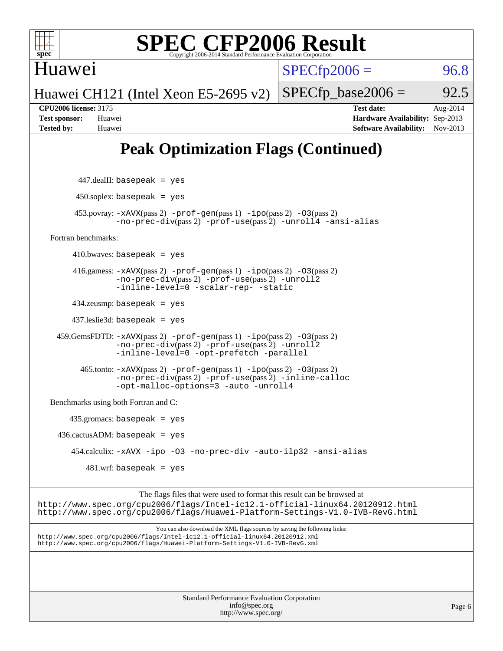

Huawei

 $SPECTp2006 = 96.8$ 

Huawei CH121 (Intel Xeon E5-2695 v2)

**[CPU2006 license:](http://www.spec.org/auto/cpu2006/Docs/result-fields.html#CPU2006license)** 3175 **[Test date:](http://www.spec.org/auto/cpu2006/Docs/result-fields.html#Testdate)** Aug-2014 **[Test sponsor:](http://www.spec.org/auto/cpu2006/Docs/result-fields.html#Testsponsor)** Huawei **[Hardware Availability:](http://www.spec.org/auto/cpu2006/Docs/result-fields.html#HardwareAvailability)** Sep-2013 **[Tested by:](http://www.spec.org/auto/cpu2006/Docs/result-fields.html#Testedby)** Huawei **[Software Availability:](http://www.spec.org/auto/cpu2006/Docs/result-fields.html#SoftwareAvailability)** Nov-2013

 $SPECTp\_base2006 = 92.5$ 

## **[Peak Optimization Flags \(Continued\)](http://www.spec.org/auto/cpu2006/Docs/result-fields.html#PeakOptimizationFlags)**

 447.dealII: basepeak = yes  $450$ .soplex: basepeak = yes 453.povray: [-xAVX](http://www.spec.org/cpu2006/results/res2014q3/cpu2006-20140905-31211.flags.html#user_peakPASS2_CXXFLAGSPASS2_LDFLAGS453_povray_f-xAVX)(pass 2) [-prof-gen](http://www.spec.org/cpu2006/results/res2014q3/cpu2006-20140905-31211.flags.html#user_peakPASS1_CXXFLAGSPASS1_LDFLAGS453_povray_prof_gen_e43856698f6ca7b7e442dfd80e94a8fc)(pass 1) [-ipo](http://www.spec.org/cpu2006/results/res2014q3/cpu2006-20140905-31211.flags.html#user_peakPASS2_CXXFLAGSPASS2_LDFLAGS453_povray_f-ipo)(pass 2) [-O3](http://www.spec.org/cpu2006/results/res2014q3/cpu2006-20140905-31211.flags.html#user_peakPASS2_CXXFLAGSPASS2_LDFLAGS453_povray_f-O3)(pass 2) [-no-prec-div](http://www.spec.org/cpu2006/results/res2014q3/cpu2006-20140905-31211.flags.html#user_peakPASS2_CXXFLAGSPASS2_LDFLAGS453_povray_f-no-prec-div)(pass 2) [-prof-use](http://www.spec.org/cpu2006/results/res2014q3/cpu2006-20140905-31211.flags.html#user_peakPASS2_CXXFLAGSPASS2_LDFLAGS453_povray_prof_use_bccf7792157ff70d64e32fe3e1250b55)(pass 2) [-unroll4](http://www.spec.org/cpu2006/results/res2014q3/cpu2006-20140905-31211.flags.html#user_peakCXXOPTIMIZE453_povray_f-unroll_4e5e4ed65b7fd20bdcd365bec371b81f) [-ansi-alias](http://www.spec.org/cpu2006/results/res2014q3/cpu2006-20140905-31211.flags.html#user_peakCXXOPTIMIZE453_povray_f-ansi-alias) [Fortran benchmarks](http://www.spec.org/auto/cpu2006/Docs/result-fields.html#Fortranbenchmarks):  $410.bwaves: basepeak = yes$  416.gamess: [-xAVX](http://www.spec.org/cpu2006/results/res2014q3/cpu2006-20140905-31211.flags.html#user_peakPASS2_FFLAGSPASS2_LDFLAGS416_gamess_f-xAVX)(pass 2) [-prof-gen](http://www.spec.org/cpu2006/results/res2014q3/cpu2006-20140905-31211.flags.html#user_peakPASS1_FFLAGSPASS1_LDFLAGS416_gamess_prof_gen_e43856698f6ca7b7e442dfd80e94a8fc)(pass 1) [-ipo](http://www.spec.org/cpu2006/results/res2014q3/cpu2006-20140905-31211.flags.html#user_peakPASS2_FFLAGSPASS2_LDFLAGS416_gamess_f-ipo)(pass 2) [-O3](http://www.spec.org/cpu2006/results/res2014q3/cpu2006-20140905-31211.flags.html#user_peakPASS2_FFLAGSPASS2_LDFLAGS416_gamess_f-O3)(pass 2) [-no-prec-div](http://www.spec.org/cpu2006/results/res2014q3/cpu2006-20140905-31211.flags.html#user_peakPASS2_FFLAGSPASS2_LDFLAGS416_gamess_f-no-prec-div)(pass 2) [-prof-use](http://www.spec.org/cpu2006/results/res2014q3/cpu2006-20140905-31211.flags.html#user_peakPASS2_FFLAGSPASS2_LDFLAGS416_gamess_prof_use_bccf7792157ff70d64e32fe3e1250b55)(pass 2) [-unroll2](http://www.spec.org/cpu2006/results/res2014q3/cpu2006-20140905-31211.flags.html#user_peakOPTIMIZE416_gamess_f-unroll_784dae83bebfb236979b41d2422d7ec2) [-inline-level=0](http://www.spec.org/cpu2006/results/res2014q3/cpu2006-20140905-31211.flags.html#user_peakOPTIMIZE416_gamess_f-inline-level_318d07a09274ad25e8d15dbfaa68ba50) [-scalar-rep-](http://www.spec.org/cpu2006/results/res2014q3/cpu2006-20140905-31211.flags.html#user_peakOPTIMIZE416_gamess_f-disablescalarrep_abbcad04450fb118e4809c81d83c8a1d) [-static](http://www.spec.org/cpu2006/results/res2014q3/cpu2006-20140905-31211.flags.html#user_peakOPTIMIZE416_gamess_f-static) 434.zeusmp: basepeak = yes 437.leslie3d: basepeak = yes 459.GemsFDTD: [-xAVX](http://www.spec.org/cpu2006/results/res2014q3/cpu2006-20140905-31211.flags.html#user_peakPASS2_FFLAGSPASS2_LDFLAGS459_GemsFDTD_f-xAVX)(pass 2) [-prof-gen](http://www.spec.org/cpu2006/results/res2014q3/cpu2006-20140905-31211.flags.html#user_peakPASS1_FFLAGSPASS1_LDFLAGS459_GemsFDTD_prof_gen_e43856698f6ca7b7e442dfd80e94a8fc)(pass 1) [-ipo](http://www.spec.org/cpu2006/results/res2014q3/cpu2006-20140905-31211.flags.html#user_peakPASS2_FFLAGSPASS2_LDFLAGS459_GemsFDTD_f-ipo)(pass 2) [-O3](http://www.spec.org/cpu2006/results/res2014q3/cpu2006-20140905-31211.flags.html#user_peakPASS2_FFLAGSPASS2_LDFLAGS459_GemsFDTD_f-O3)(pass 2) [-no-prec-div](http://www.spec.org/cpu2006/results/res2014q3/cpu2006-20140905-31211.flags.html#user_peakPASS2_FFLAGSPASS2_LDFLAGS459_GemsFDTD_f-no-prec-div)(pass 2) [-prof-use](http://www.spec.org/cpu2006/results/res2014q3/cpu2006-20140905-31211.flags.html#user_peakPASS2_FFLAGSPASS2_LDFLAGS459_GemsFDTD_prof_use_bccf7792157ff70d64e32fe3e1250b55)(pass 2) [-unroll2](http://www.spec.org/cpu2006/results/res2014q3/cpu2006-20140905-31211.flags.html#user_peakOPTIMIZE459_GemsFDTD_f-unroll_784dae83bebfb236979b41d2422d7ec2) [-inline-level=0](http://www.spec.org/cpu2006/results/res2014q3/cpu2006-20140905-31211.flags.html#user_peakOPTIMIZE459_GemsFDTD_f-inline-level_318d07a09274ad25e8d15dbfaa68ba50) [-opt-prefetch](http://www.spec.org/cpu2006/results/res2014q3/cpu2006-20140905-31211.flags.html#user_peakOPTIMIZE459_GemsFDTD_f-opt-prefetch) [-parallel](http://www.spec.org/cpu2006/results/res2014q3/cpu2006-20140905-31211.flags.html#user_peakOPTIMIZE459_GemsFDTD_f-parallel) 465.tonto: [-xAVX](http://www.spec.org/cpu2006/results/res2014q3/cpu2006-20140905-31211.flags.html#user_peakPASS2_FFLAGSPASS2_LDFLAGS465_tonto_f-xAVX)(pass 2) [-prof-gen](http://www.spec.org/cpu2006/results/res2014q3/cpu2006-20140905-31211.flags.html#user_peakPASS1_FFLAGSPASS1_LDFLAGS465_tonto_prof_gen_e43856698f6ca7b7e442dfd80e94a8fc)(pass 1) [-ipo](http://www.spec.org/cpu2006/results/res2014q3/cpu2006-20140905-31211.flags.html#user_peakPASS2_FFLAGSPASS2_LDFLAGS465_tonto_f-ipo)(pass 2) [-O3](http://www.spec.org/cpu2006/results/res2014q3/cpu2006-20140905-31211.flags.html#user_peakPASS2_FFLAGSPASS2_LDFLAGS465_tonto_f-O3)(pass 2) [-no-prec-div](http://www.spec.org/cpu2006/results/res2014q3/cpu2006-20140905-31211.flags.html#user_peakPASS2_FFLAGSPASS2_LDFLAGS465_tonto_f-no-prec-div)(pass 2) [-prof-use](http://www.spec.org/cpu2006/results/res2014q3/cpu2006-20140905-31211.flags.html#user_peakPASS2_FFLAGSPASS2_LDFLAGS465_tonto_prof_use_bccf7792157ff70d64e32fe3e1250b55)(pass 2) [-inline-calloc](http://www.spec.org/cpu2006/results/res2014q3/cpu2006-20140905-31211.flags.html#user_peakOPTIMIZE465_tonto_f-inline-calloc) [-opt-malloc-options=3](http://www.spec.org/cpu2006/results/res2014q3/cpu2006-20140905-31211.flags.html#user_peakOPTIMIZE465_tonto_f-opt-malloc-options_13ab9b803cf986b4ee62f0a5998c2238) [-auto](http://www.spec.org/cpu2006/results/res2014q3/cpu2006-20140905-31211.flags.html#user_peakOPTIMIZE465_tonto_f-auto) [-unroll4](http://www.spec.org/cpu2006/results/res2014q3/cpu2006-20140905-31211.flags.html#user_peakOPTIMIZE465_tonto_f-unroll_4e5e4ed65b7fd20bdcd365bec371b81f) [Benchmarks using both Fortran and C](http://www.spec.org/auto/cpu2006/Docs/result-fields.html#BenchmarksusingbothFortranandC): 435.gromacs: basepeak = yes  $436.cactusADM:basepeak = yes$  454.calculix: [-xAVX](http://www.spec.org/cpu2006/results/res2014q3/cpu2006-20140905-31211.flags.html#user_peakOPTIMIZE454_calculix_f-xAVX) [-ipo](http://www.spec.org/cpu2006/results/res2014q3/cpu2006-20140905-31211.flags.html#user_peakOPTIMIZE454_calculix_f-ipo) [-O3](http://www.spec.org/cpu2006/results/res2014q3/cpu2006-20140905-31211.flags.html#user_peakOPTIMIZE454_calculix_f-O3) [-no-prec-div](http://www.spec.org/cpu2006/results/res2014q3/cpu2006-20140905-31211.flags.html#user_peakOPTIMIZE454_calculix_f-no-prec-div) [-auto-ilp32](http://www.spec.org/cpu2006/results/res2014q3/cpu2006-20140905-31211.flags.html#user_peakCOPTIMIZE454_calculix_f-auto-ilp32) [-ansi-alias](http://www.spec.org/cpu2006/results/res2014q3/cpu2006-20140905-31211.flags.html#user_peakCOPTIMIZE454_calculix_f-ansi-alias)  $481$ .wrf: basepeak = yes The flags files that were used to format this result can be browsed at <http://www.spec.org/cpu2006/flags/Intel-ic12.1-official-linux64.20120912.html> <http://www.spec.org/cpu2006/flags/Huawei-Platform-Settings-V1.0-IVB-RevG.html> You can also download the XML flags sources by saving the following links: <http://www.spec.org/cpu2006/flags/Intel-ic12.1-official-linux64.20120912.xml> <http://www.spec.org/cpu2006/flags/Huawei-Platform-Settings-V1.0-IVB-RevG.xml>